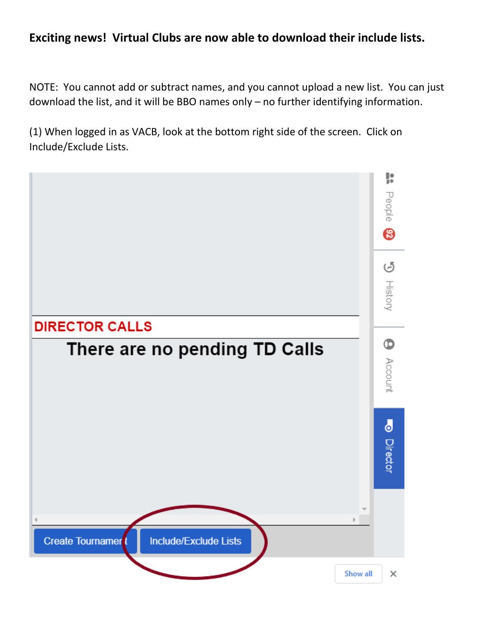## **Exciting news! Virtual Clubs are now able to download their include lists.**

NOTE: You cannot add or subtract names, and you cannot upload a new list. You can just download the list, and it will be BBO names only – no further identifying information.

(1) When logged in as VACB, look at the bottom right side of the screen. Click on Include/Exclude Lists.

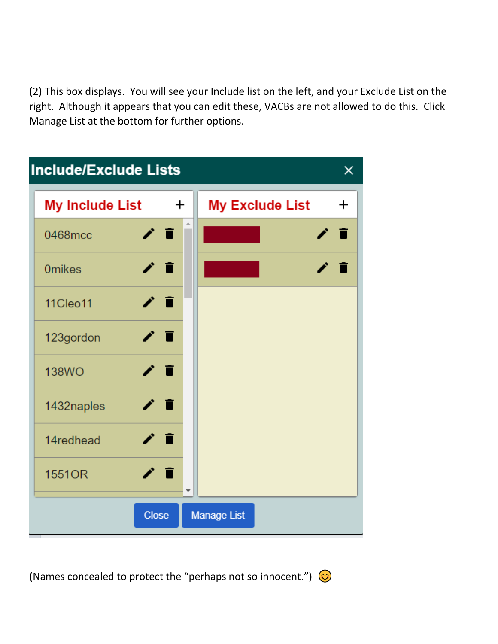(2) This box displays. You will see your Include list on the left, and your Exclude List on the right. Although it appears that you can edit these, VACBs are not allowed to do this. Click Manage List at the bottom for further options.



(Names concealed to protect the "perhaps not so innocent.")  $\odot$ 

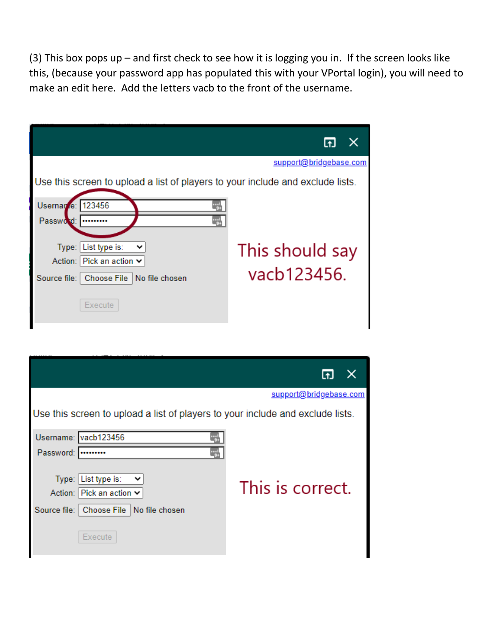(3) This box pops up – and first check to see how it is logging you in. If the screen looks like this, (because your password app has populated this with your VPortal login), you will need to make an edit here. Add the letters vacb to the front of the username.

|                                                                                | support@bridgebase.com |
|--------------------------------------------------------------------------------|------------------------|
| Use this screen to upload a list of players to your include and exclude lists. |                        |
| Usernar e: 123456<br>Password:<br>                                             |                        |
| Type: List type is:<br>╰<br>Action: Pick an action ↓                           | This should say        |
| Source file:   Choose File   No file chosen                                    | vacb123456.            |
| Execute                                                                        |                        |

|                                                                                                                                | support@bridgebase.com |
|--------------------------------------------------------------------------------------------------------------------------------|------------------------|
| Use this screen to upload a list of players to your include and exclude lists.                                                 |                        |
| Username: vacb123456                                                                                                           |                        |
| Password:                                                                                                                      |                        |
| Type: List type is:<br>$\checkmark$<br>Action: Pick an action $\vee$<br>Source file:   Choose File   No file chosen<br>Execute | This is correct.       |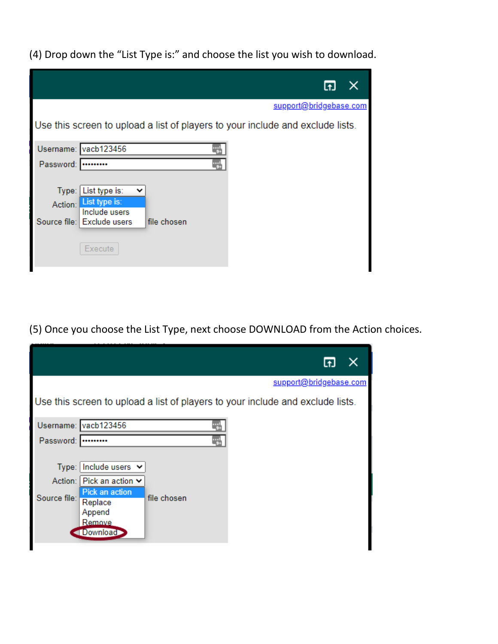(4) Drop down the "List Type is:" and choose the list you wish to download.

|           |                                                                                | support@bridgebase.com |  |
|-----------|--------------------------------------------------------------------------------|------------------------|--|
|           | Use this screen to upload a list of players to your include and exclude lists. |                        |  |
|           | Username: vacb123456                                                           |                        |  |
| Password: |                                                                                |                        |  |
|           |                                                                                |                        |  |
| Type:     | List type is:                                                                  |                        |  |
|           | Action: List type is:<br>Include users                                         |                        |  |
|           | Source file: Exclude users<br>file chosen                                      |                        |  |
|           |                                                                                |                        |  |
|           | Execute                                                                        |                        |  |
|           |                                                                                |                        |  |

(5) Once you choose the List Type, next choose DOWNLOAD from the Action choices.

|                                  | support@bridgebase.com                                                                                               |  |
|----------------------------------|----------------------------------------------------------------------------------------------------------------------|--|
|                                  | Use this screen to upload a list of players to your include and exclude lists.                                       |  |
|                                  | Username: vacb123456                                                                                                 |  |
| Password:                        |                                                                                                                      |  |
| Type:<br>Action:<br>Source file: | Include users $\vee$<br>Pick an action ∨<br>Pick an action<br>file chosen<br>Replace<br>Append<br>Remove<br>Download |  |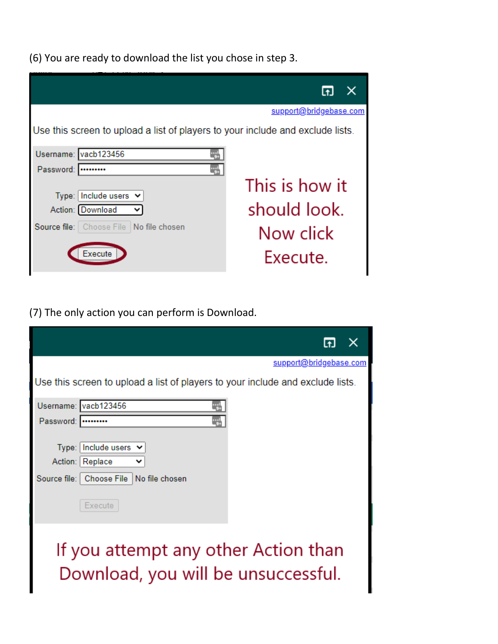(6) You are ready to download the list you chose in step 3.

|           |                                                                                | support@bridgebase.com |
|-----------|--------------------------------------------------------------------------------|------------------------|
|           | Use this screen to upload a list of players to your include and exclude lists. |                        |
|           | Username: vacb123456                                                           |                        |
| Password: |                                                                                |                        |
| Type:     | Include users $\vee$                                                           | This is how it         |
|           | Action: Download                                                               | should look.           |
|           | Source file: Choose File No file chosen                                        | Now click              |
|           | Execute                                                                        | Execute.               |

(7) The only action you can perform is Download.

|           |                                                                                                                     | $\times$ |
|-----------|---------------------------------------------------------------------------------------------------------------------|----------|
|           | support@bridgebase.com                                                                                              |          |
|           | Use this screen to upload a list of players to your include and exclude lists.                                      |          |
|           | Username: vacb123456                                                                                                |          |
| Password: |                                                                                                                     |          |
|           | Type: Include users $\vee$<br>Action: Replace<br>◡<br>Source file:   Choose File   No file chosen<br><b>Execute</b> |          |
|           | If you attempt any other Action than<br>Download, you will be unsuccessful.                                         |          |